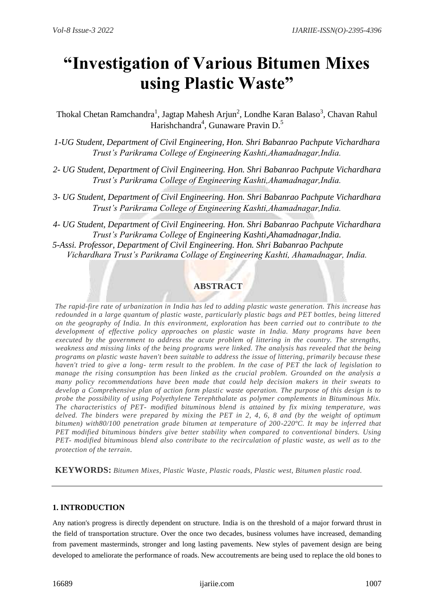# **"Investigation of Various Bitumen Mixes using Plastic Waste"**

Thokal Chetan Ramchandra<sup>1</sup>, Jagtap Mahesh Arjun<sup>2</sup>, Londhe Karan Balaso<sup>3</sup>, Chavan Rahul Harishchandra<sup>4</sup>, Gunaware Pravin D.<sup>5</sup>

*1-UG Student, Department of Civil Engineering, Hon. Shri Babanrao Pachpute Vichardhara Trust's Parikrama College of Engineering Kashti,Ahamadnagar,India.*

- *2- UG Student, Department of Civil Engineering. Hon. Shri Babanrao Pachpute Vichardhara Trust's Parikrama College of Engineering Kashti,Ahamadnagar,India.*
- *3- UG Student, Department of Civil Engineering. Hon. Shri Babanrao Pachpute Vichardhara Trust's Parikrama College of Engineering Kashti,Ahamadnagar,India.*

*4- UG Student, Department of Civil Engineering. Hon. Shri Babanrao Pachpute Vichardhara Trust's Parikrama College of Engineering Kashti,Ahamadnagar,India. 5-Assi. Professor, Department of Civil Engineering. Hon. Shri Babanrao Pachpute Vichardhara Trust's Parikrama Collage of Engineering Kashti, Ahamadnagar, India.*

# **ABSTRACT**

*The rapid-fire rate of urbanization in India has led to adding plastic waste generation. This increase has redounded in a large quantum of plastic waste, particularly plastic bags and PET bottles, being littered on the geography of India. In this environment, exploration has been carried out to contribute to the development of effective policy approaches on plastic waste in India. Many programs have been executed by the government to address the acute problem of littering in the country. The strengths, weakness and missing links of the being programs were linked. The analysis has revealed that the being programs on plastic waste haven't been suitable to address the issue of littering, primarily because these haven't tried to give a long- term result to the problem. In the case of PET the lack of legislation to manage the rising consumption has been linked as the crucial problem. Grounded on the analysis a many policy recommendations have been made that could help decision makers in their sweats to develop a Comprehensive plan of action form plastic waste operation. The purpose of this design is to probe the possibility of using Polyethylene Terephthalate as polymer complements in Bituminous Mix. The characteristics of PET- modified bituminous blend is attained by fix mixing temperature, was delved. The binders were prepared by mixing the PET in 2, 4, 6, 8 and (by the weight of optimum bitumen) with80/100 penetration grade bitumen at temperature of 200-220ºC. It may be inferred that PET modified bituminous binders give better stability when compared to conventional binders. Using PET- modified bituminous blend also contribute to the recirculation of plastic waste, as well as to the protection of the terrain.*

**KEYWORDS:** *Bitumen Mixes, Plastic Waste, Plastic roads, Plastic west, Bitumen plastic road.*

# **1. INTRODUCTION**

Any nation's progress is directly dependent on structure. India is on the threshold of a major forward thrust in the field of transportation structure. Over the once two decades, business volumes have increased, demanding from pavement masterminds, stronger and long lasting pavements. New styles of pavement design are being developed to ameliorate the performance of roads. New accoutrements are being used to replace the old bones to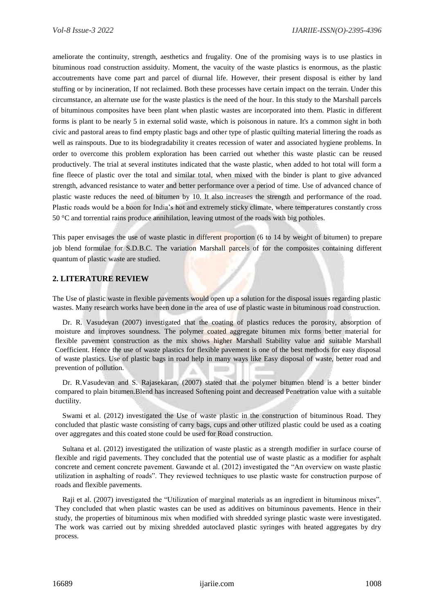ameliorate the continuity, strength, aesthetics and frugality. One of the promising ways is to use plastics in bituminous road construction assiduity. Moment, the vacuity of the waste plastics is enormous, as the plastic accoutrements have come part and parcel of diurnal life. However, their present disposal is either by land stuffing or by incineration, If not reclaimed. Both these processes have certain impact on the terrain. Under this circumstance, an alternate use for the waste plastics is the need of the hour. In this study to the Marshall parcels of bituminous composites have been plant when plastic wastes are incorporated into them. Plastic in different forms is plant to be nearly 5 in external solid waste, which is poisonous in nature. It's a common sight in both civic and pastoral areas to find empty plastic bags and other type of plastic quilting material littering the roads as well as rainspouts. Due to its biodegradability it creates recession of water and associated hygiene problems. In order to overcome this problem exploration has been carried out whether this waste plastic can be reused productively. The trial at several institutes indicated that the waste plastic, when added to hot total will form a fine fleece of plastic over the total and similar total, when mixed with the binder is plant to give advanced strength, advanced resistance to water and better performance over a period of time. Use of advanced chance of plastic waste reduces the need of bitumen by 10. It also increases the strength and performance of the road. Plastic roads would be a boon for India's hot and extremely sticky climate, where temperatures constantly cross 50 °C and torrential rains produce annihilation, leaving utmost of the roads with big potholes.

This paper envisages the use of waste plastic in different proportion (6 to 14 by weight of bitumen) to prepare job blend formulae for S.D.B.C. The variation Marshall parcels of for the composites containing different quantum of plastic waste are studied.

## **2. LITERATURE REVIEW**

The Use of plastic waste in flexible pavements would open up a solution for the disposal issues regarding plastic wastes. Many research works have been done in the area of use of plastic waste in bituminous road construction.

Dr. R. Vasudevan (2007) investigated that the coating of plastics reduces the porosity, absorption of moisture and improves soundness. The polymer coated aggregate bitumen mix forms better material for flexible pavement construction as the mix shows higher Marshall Stability value and suitable Marshall Coefficient. Hence the use of waste plastics for flexible pavement is one of the best methods for easy disposal of waste plastics. Use of plastic bags in road help in many ways like Easy disposal of waste, better road and prevention of pollution.

Dr. R.Vasudevan and S. Rajasekaran, (2007) stated that the polymer bitumen blend is a better binder compared to plain bitumen.Blend has increased Softening point and decreased Penetration value with a suitable ductility.

Swami et al. (2012) investigated the Use of waste plastic in the construction of bituminous Road. They concluded that plastic waste consisting of carry bags, cups and other utilized plastic could be used as a coating over aggregates and this coated stone could be used for Road construction.

Sultana et al. (2012) investigated the utilization of waste plastic as a strength modifier in surface course of flexible and rigid pavements. They concluded that the potential use of waste plastic as a modifier for asphalt concrete and cement concrete pavement. Gawande et al. (2012) investigated the "An overview on waste plastic utilization in asphalting of roads". They reviewed techniques to use plastic waste for construction purpose of roads and flexible pavements.

Raji et al. (2007) investigated the "Utilization of marginal materials as an ingredient in bituminous mixes". They concluded that when plastic wastes can be used as additives on bituminous pavements. Hence in their study, the properties of bituminous mix when modified with shredded syringe plastic waste were investigated. The work was carried out by mixing shredded autoclaved plastic syringes with heated aggregates by dry process.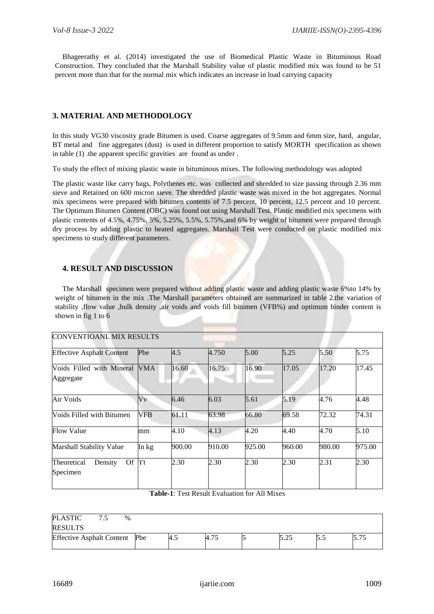Bhageerathy et al. (2014) investigated the use of Biomedical Plastic Waste in Bituminous Road Construction. They concluded that the Marshall Stability value of plastic modified mix was found to be 51 percent more than that for the normal mix which indicates an increase in load carrying capacity

# **3. MATERIAL AND METHODOLOGY**

In this study VG30 viscosity grade Bitumen is used. Coarse aggregates of 9.5mm and 6mm size, hard, angular, BT metal and fine aggregates (dust) is used in different proportion to satisfy MORTH specification as shown in table (1) .the apparent specific gravities are found as under .

To study the effect of mixing plastic waste in bituminous mixes. The following methodology was adopted

The plastic waste like carry bags, Polythenes etc. was collected and shredded to size passing through 2.36 mm sieve and Retained on 600 micron sieve. The shredded plastic waste was mixed in the hot aggregates. Normal mix specimens were prepared with bitumen contents of 7.5 percent, 10 percent, 12.5 percent and 10 percent. The Optimum Bitumen Content (OBC) was found out using Marshall Test. Plastic modified mix specimens with plastic contents of 4.5%, 4.75%, 5%, 5.25%, 5.5%, 5.75%,and 6% by weight of bitumen were prepared through dry process by adding plastic to heated aggregates. Marshall Test were conducted on plastic modified mix specimens to study different parameters.

## **4. RESULT AND DISCUSSION**

The Marshall specimen were prepared without adding plastic waste and adding plastic waste 6%to 14% by weight of bitumen in the mix .The Marshall parameters obtained are summarized in table 2.the variation of stability ,flow value ,bulk density ,air voids and voids fill bitumen (VFB%) and optimum binder content is shown in fig 1 to 6

| <b>CONVENTIOANL MIX RESULTS</b>                 |              |        |        |        |        |        |        |
|-------------------------------------------------|--------------|--------|--------|--------|--------|--------|--------|
| <b>Effective Asphalt Content</b>                | Pbe          | 4.5    | 4.750  | 5.00   | 5.25   | 5.50   | 5.75   |
| Voids Filled with Mineral<br>Aggregate          | <b>VMA</b>   | 16.60  | 16.75  | 16.90  | 17.05  | 17.20  | 17.45  |
| Air Voids                                       | Vv           | 6.46   | 6.03   | 5.61   | 5.19   | 4.76   | 4.48   |
| <b>Voids Filled with Bitumen</b>                | <b>VFB</b>   | 61.11  | 63.98  | 66.80  | 69.58  | 72.32  | 74.31  |
| <b>Flow Value</b>                               | mm           | 4.10   | 4.13   | 4.20   | 4.40   | 4.70   | 5.10   |
| <b>Marshall Stability Value</b>                 | In kg        | 900.00 | 910.00 | 925.00 | 960.00 | 980.00 | 975.00 |
| <b>Of</b><br>Theoretical<br>Density<br>Specimen | $\Upsilon$ t | 2.30   | 2.30   | 2.30   | 2.30   | 2.31   | 2.30   |

**Table-1**: Test Result Evaluation for All Mixes

| <b>PLASTIC</b>                | $\%$ |     |      |        |      |  |
|-------------------------------|------|-----|------|--------|------|--|
| <b>RESULTS</b>                |      |     |      |        |      |  |
| Effective Asphalt Content Pbe |      | 4.5 | 4.75 | ب که ب | ر. ر |  |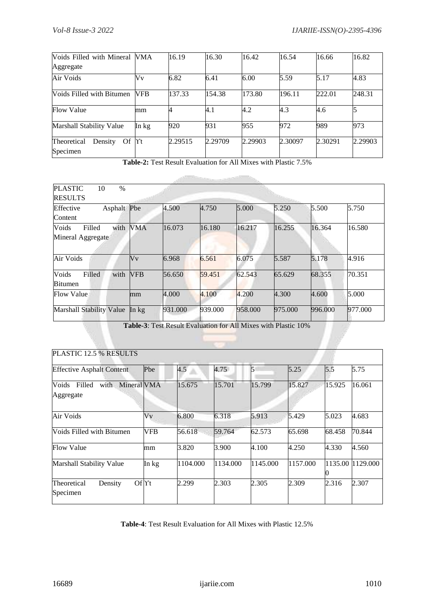| Voids Filled with Mineral                | <b>VMA</b> | 16.19   | 16.30   | 16.42   | 16.54   | 16.66   | 16.82   |
|------------------------------------------|------------|---------|---------|---------|---------|---------|---------|
| Aggregate                                |            |         |         |         |         |         |         |
| Air Voids                                | Vv         | 6.82    | 6.41    | 6.00    | 5.59    | 5.17    | 4.83    |
| Voids Filled with Bitumen                | VFB        | 137.33  | 154.38  | 173.80  | 196.11  | 222.01  | 248.31  |
| <b>Flow Value</b>                        | mm         |         | 4.1     | 4.2     | 4.3     | 4.6     |         |
| Marshall Stability Value                 | In kg      | 920     | 931     | 955     | 972     | 989     | 973     |
| Theoretical<br>Of<br>Density<br>Specimen | $\gamma_t$ | 2.29515 | 2.29709 | 2.29903 | 2.30097 | 2.30291 | 2.29903 |

**Table-2:** Test Result Evaluation for All Mixes with Plastic 7.5%

**Contractor** 

| <b>PLASTIC</b><br>$\%$<br>10<br><b>RESULTS</b> |            |         |         |         |         |         |         |
|------------------------------------------------|------------|---------|---------|---------|---------|---------|---------|
| Asphalt Pbe<br>Effective<br>Content            |            | 4.500   | 4.750   | 5.000   | 5.250   | 5.500   | 5.750   |
| Voids<br>Filled<br>with<br>Mineral Aggregate   | <b>VMA</b> | 16.073  | 16.180  | 16.217  | 16.255  | 16.364  | 16.580  |
| Air Voids                                      | Vv         | 6.968   | 6.561   | 6.075   | 5.587   | 5.178   | 4.916   |
| Voids<br>Filled<br>with<br><b>Bitumen</b>      | <b>VFB</b> | 56.650  | 59.451  | 62.543  | 65.629  | 68.355  | 70.351  |
| <b>Flow Value</b>                              | mm         | 4.000   | 4.100   | 4.200   | 4.300   | 4.600   | 5.000   |
| Marshall Stability Value                       | In $kg$    | 931.000 | 939.000 | 958.000 | 975,000 | 996.000 | 977.000 |

**Table-3**: Test Result Evaluation for All Mixes with Plastic 10%

| PLASTIC 12.5 % RESULTS                              |            |          |          |          |          |         |          |
|-----------------------------------------------------|------------|----------|----------|----------|----------|---------|----------|
| <b>Effective Asphalt Content</b>                    | Pbe        | 4.5      | 4.75     | 5        | 5.25     | 5.5     | 5.75     |
| Voids<br>Filled<br>Mineral VMA<br>with<br>Aggregate |            | 15.675   | 15.701   | 15.799   | 15.827   | 15.925  | 16.061   |
| Air Voids                                           | Vv         | 6.800    | 6.318    | 5.913    | 5.429    | 5.023   | 4.683    |
| Voids Filled with Bitumen                           | <b>VFB</b> | 56.618   | 59.764   | 62.573   | 65.698   | 68.458  | 70.844   |
| <b>Flow Value</b>                                   | mm         | 3.820    | 3.900    | 4.100    | 4.250    | 4.330   | 4.560    |
| <b>Marshall Stability Value</b>                     | In kg      | 1104.000 | 1134.000 | 1145.000 | 1157.000 | 1135.00 | 1129.000 |
| Density<br>Theoretical<br>Specimen                  | OfYt       | 2.299    | 2.303    | 2.305    | 2.309    | 2.316   | 2.307    |

**Table-4**: Test Result Evaluation for All Mixes with Plastic 12.5%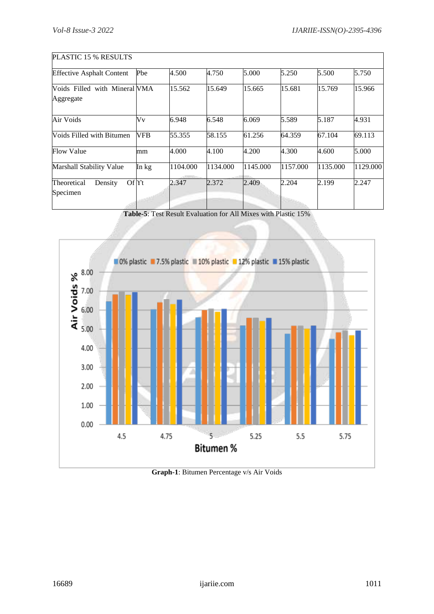| PLASTIC 15 % RESULTS                       |            |          |          |          |          |          |          |
|--------------------------------------------|------------|----------|----------|----------|----------|----------|----------|
| <b>Effective Asphalt Content</b>           | Pbe        | 4.500    | 4.750    | 5.000    | 5.250    | 5.500    | 5.750    |
| Voids Filled with Mineral VMA<br>Aggregate |            | 15.562   | 15.649   | 15.665   | 15.681   | 15.769   | 15.966   |
| Air Voids                                  | Vv         | 6.948    | 6.548    | 6.069    | 5.589    | 5.187    | 4.931    |
| Voids Filled with Bitumen                  | <b>VFB</b> | 55.355   | 58.155   | 61.256   | 64.359   | 67.104   | 69.113   |
| <b>Flow Value</b>                          | mm         | 4.000    | 4.100    | 4.200    | 4.300    | 4.600    | 5.000    |
| <b>Marshall Stability Value</b>            | In kg      | 1104.000 | 1134.000 | 1145.000 | 1157.000 | 1135.000 | 1129.000 |
| OfYt<br>Theoretical<br>Density<br>Specimen |            | 2.347    | 2.372    | 2.409    | 2.204    | 2.199    | 2.247    |

**Table-5**: Test Result Evaluation for All Mixes with Plastic 15%



**Graph-1**: Bitumen Percentage v/s Air Voids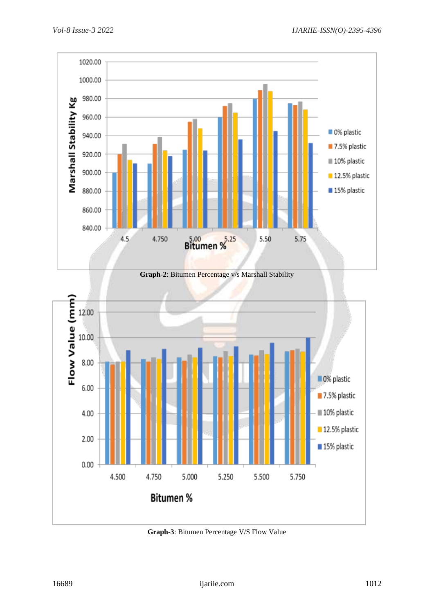





**Graph-3**: Bitumen Percentage V/S Flow Value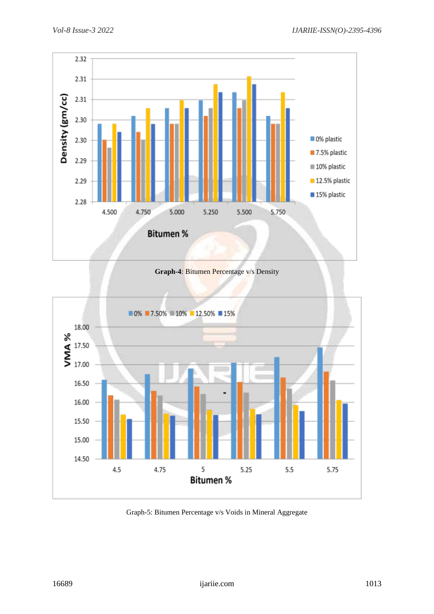

**Graph-4**: Bitumen Percentage v/s Density



Graph-5: Bitumen Percentage v/s Voids in Mineral Aggregate